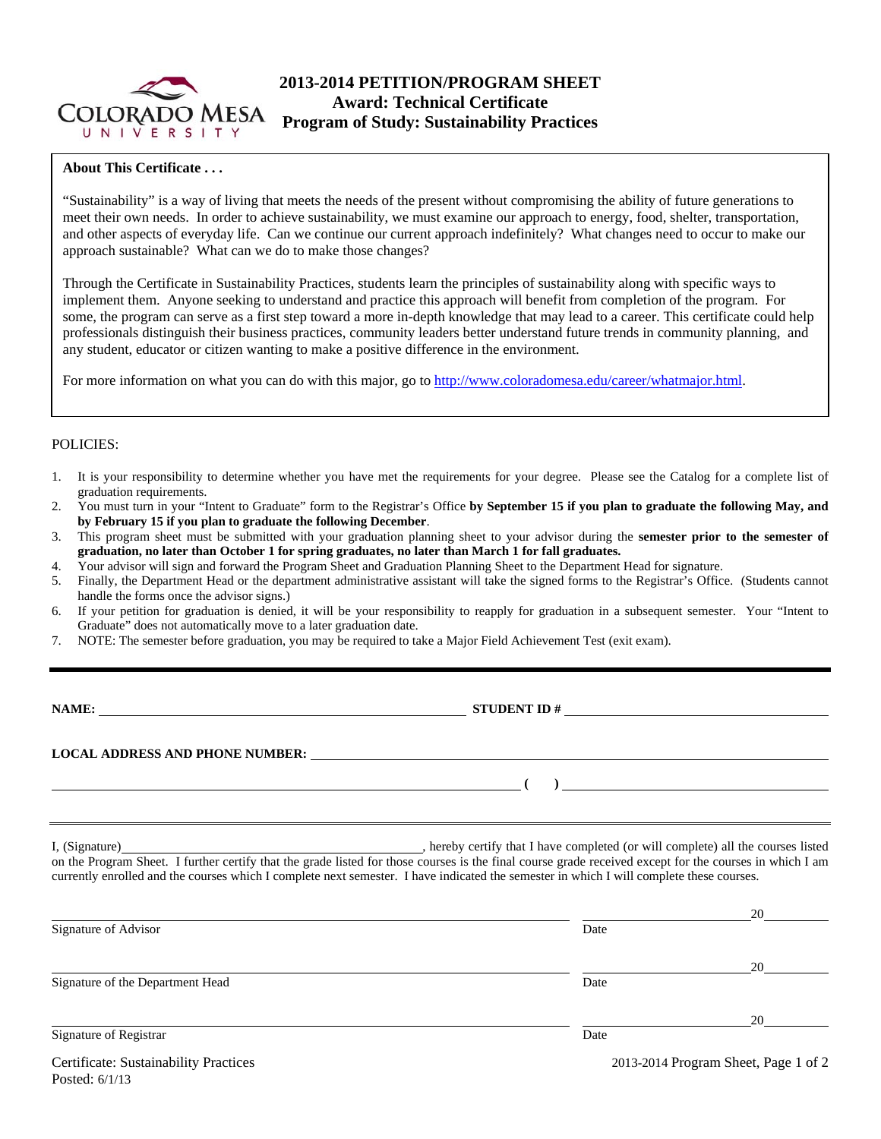

# **2013-2014 PETITION/PROGRAM SHEET Award: Technical Certificate Program of Study: Sustainability Practices**

## **About This Certificate . . .**

"Sustainability" is a way of living that meets the needs of the present without compromising the ability of future generations to meet their own needs. In order to achieve sustainability, we must examine our approach to energy, food, shelter, transportation, and other aspects of everyday life. Can we continue our current approach indefinitely? What changes need to occur to make our approach sustainable? What can we do to make those changes?

Through the Certificate in Sustainability Practices, students learn the principles of sustainability along with specific ways to implement them. Anyone seeking to understand and practice this approach will benefit from completion of the program. For some, the program can serve as a first step toward a more in-depth knowledge that may lead to a career. This certificate could help professionals distinguish their business practices, community leaders better understand future trends in community planning, and any student, educator or citizen wanting to make a positive difference in the environment.

For more information on what you can do with this major, go to http://www.coloradomesa.edu/career/whatmajor.html.

### POLICIES:

- 1. It is your responsibility to determine whether you have met the requirements for your degree. Please see the Catalog for a complete list of graduation requirements.
- 2. You must turn in your "Intent to Graduate" form to the Registrar's Office **by September 15 if you plan to graduate the following May, and by February 15 if you plan to graduate the following December**.
- 3. This program sheet must be submitted with your graduation planning sheet to your advisor during the **semester prior to the semester of graduation, no later than October 1 for spring graduates, no later than March 1 for fall graduates.**
- 4. Your advisor will sign and forward the Program Sheet and Graduation Planning Sheet to the Department Head for signature.
- 5. Finally, the Department Head or the department administrative assistant will take the signed forms to the Registrar's Office. (Students cannot handle the forms once the advisor signs.)
- 6. If your petition for graduation is denied, it will be your responsibility to reapply for graduation in a subsequent semester. Your "Intent to Graduate" does not automatically move to a later graduation date.
- 7. NOTE: The semester before graduation, you may be required to take a Major Field Achievement Test (exit exam).

| M<br>I<br>. . |  |
|---------------|--|
|               |  |

**NAME: STUDENT ID #** 

 **(** ) <u> **(** ) **d**</u>

# **LOCAL ADDRESS AND PHONE NUMBER:**

I, (Signature) , hereby certify that I have completed (or will complete) all the courses listed on the Program Sheet. I further certify that the grade listed for those courses is the final course grade received except for the courses in which I am currently enrolled and the courses which I complete next semester. I have indicated the semester in which I will complete these courses.

|                                       |                                      | 20 |  |  |
|---------------------------------------|--------------------------------------|----|--|--|
| Signature of Advisor                  | Date                                 |    |  |  |
|                                       |                                      | 20 |  |  |
| Signature of the Department Head      | Date                                 |    |  |  |
|                                       |                                      | 20 |  |  |
| Signature of Registrar                | Date                                 |    |  |  |
| Certificate: Sustainability Practices | 2013-2014 Program Sheet, Page 1 of 2 |    |  |  |

Posted: 6/1/13